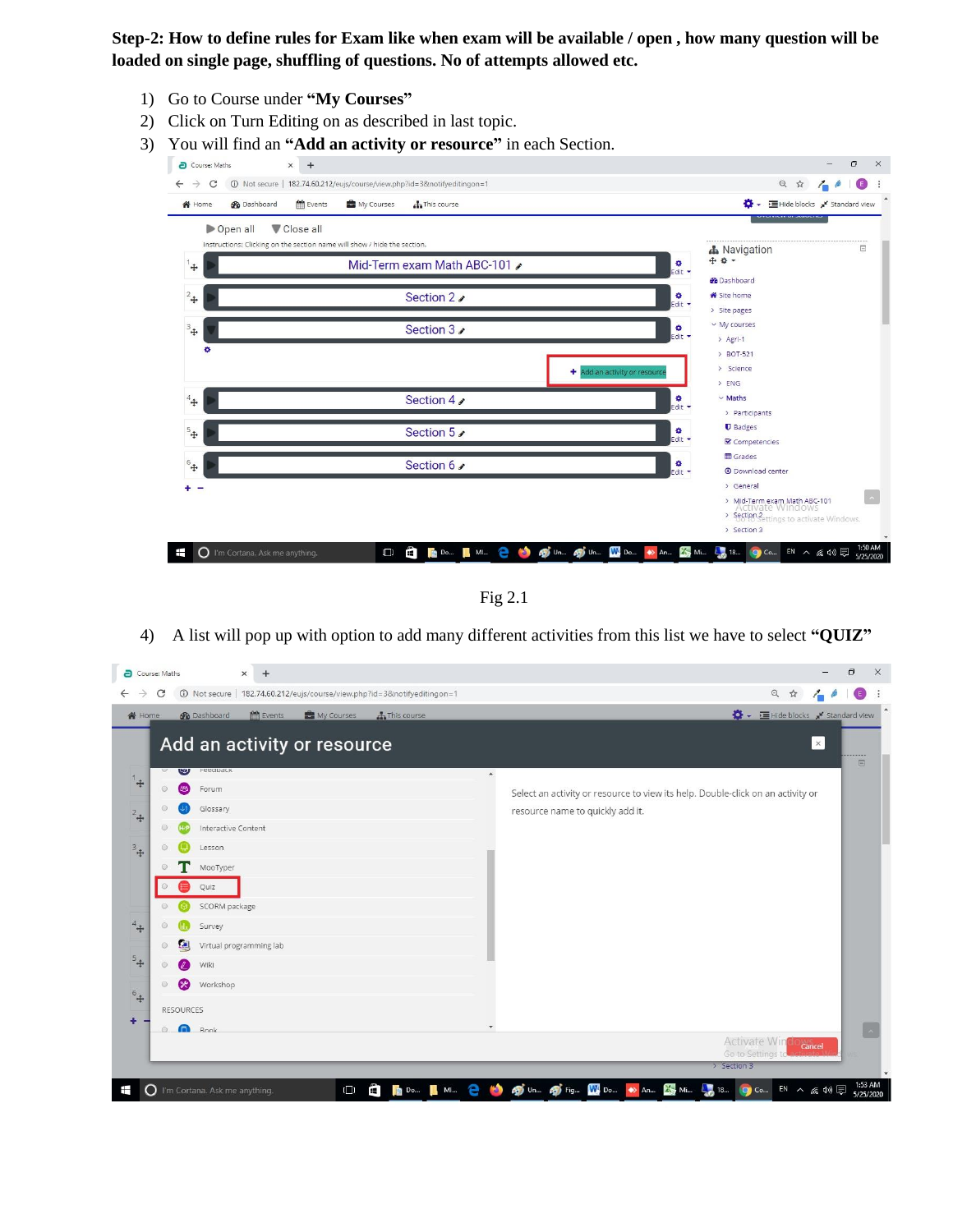**Step-2: How to define rules for Exam like when exam will be available / open , how many question will be loaded on single page, shuffling of questions. No of attempts allowed etc.**

- 1) Go to Course under **"My Courses"**
- 2) Click on Turn Editing on as described in last topic.
- 3) You will find an **"Add an activity or resource"** in each Section.



Fig 2.1

4) A list will pop up with option to add many different activities from this list we have to select **"QUIZ"**

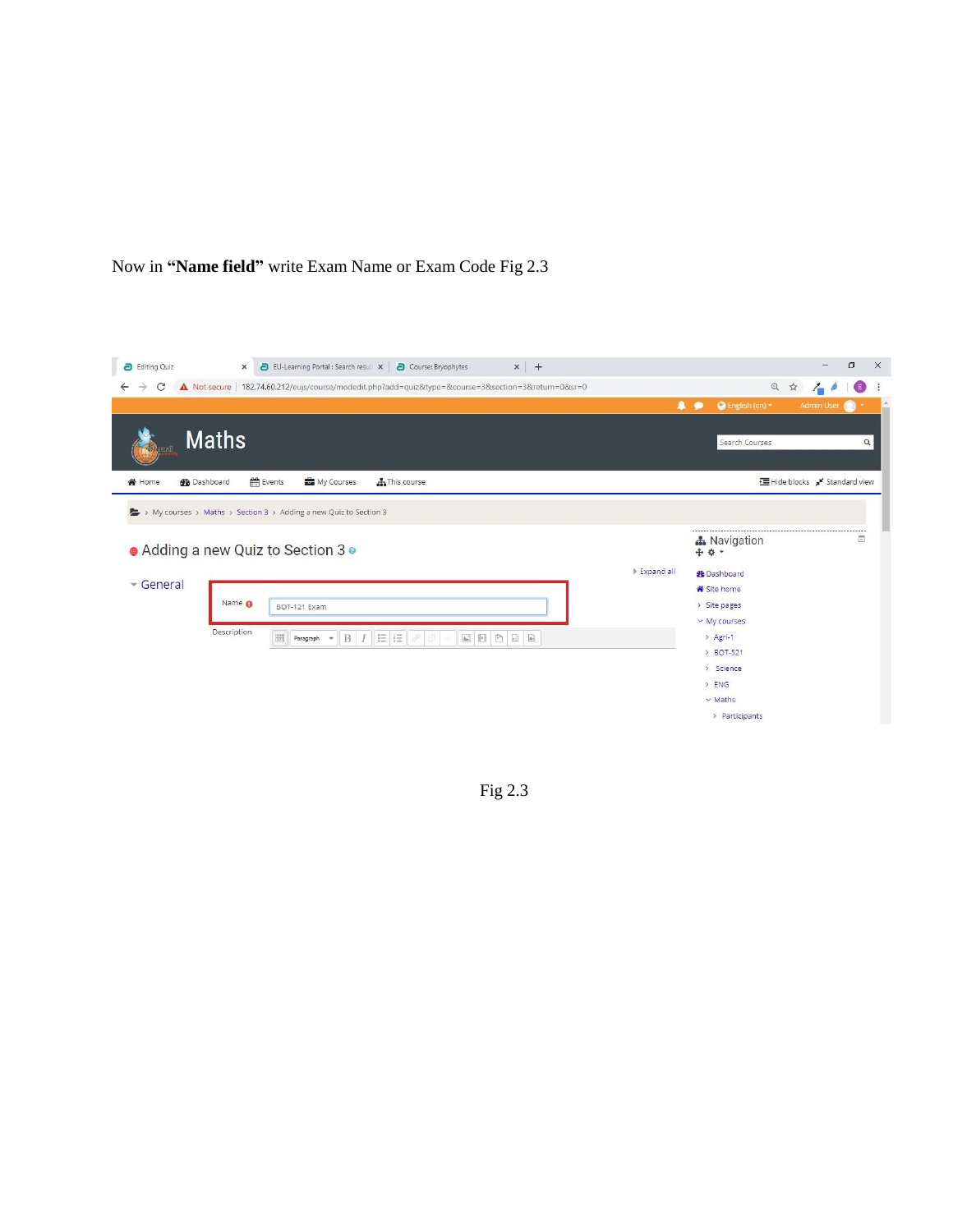



Fig 2.3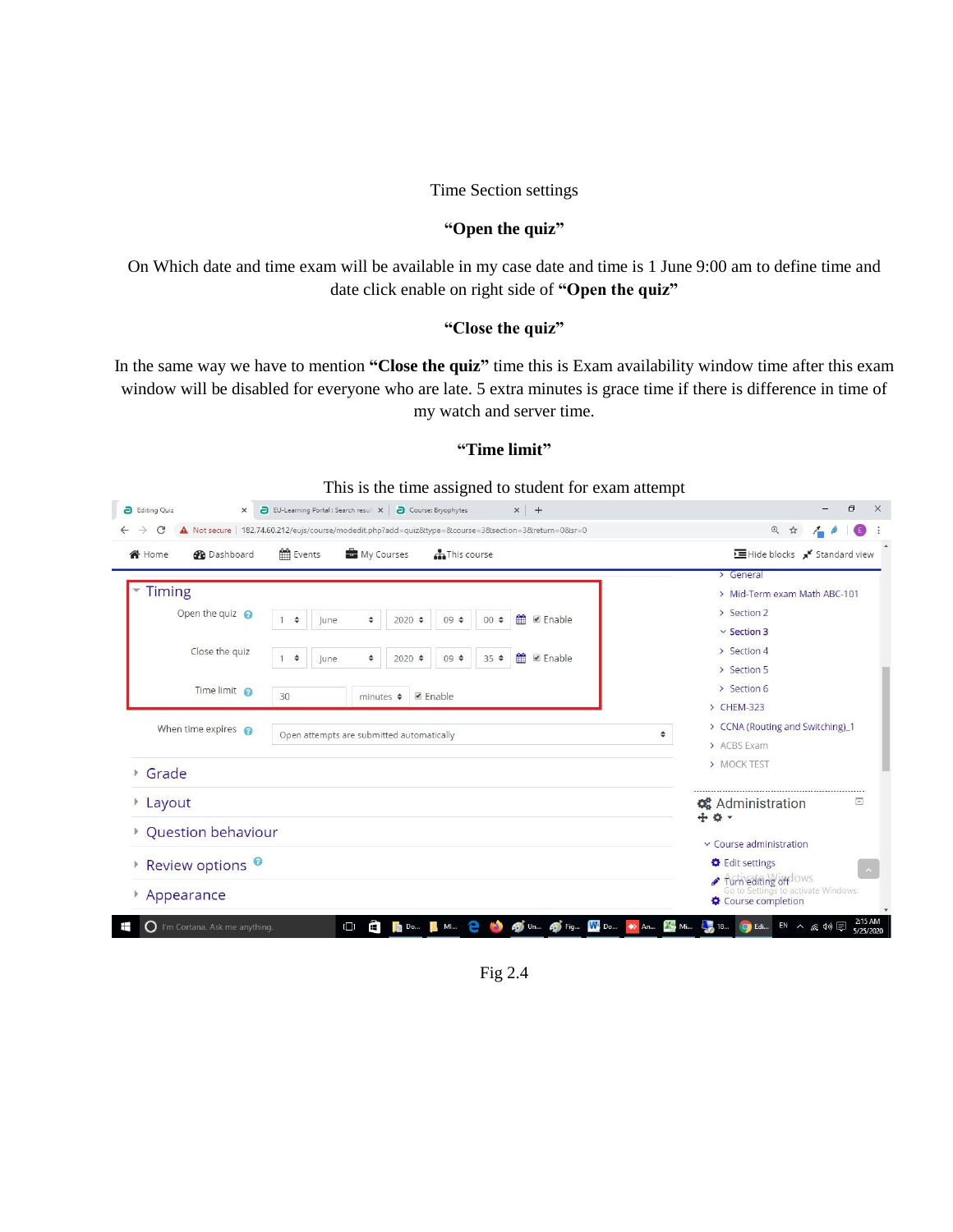### Time Section settings

### **"Open the quiz"**

On Which date and time exam will be available in my case date and time is 1 June 9:00 am to define time and date click enable on right side of **"Open the quiz"**

# **"Close the quiz"**

In the same way we have to mention **"Close the quiz"** time this is Exam availability window time after this exam window will be disabled for everyone who are late. 5 extra minutes is grace time if there is difference in time of my watch and server time.

# **"Time limit"**

| $\rightarrow$<br>C          | A Not secure   182.74.60.212/eujs/course/modedit.php?add=quiz&type=&course=3&section=3&return=0&sr=0 | @ ☆<br>$\bullet$<br>$\sim$ 6                                 |
|-----------------------------|------------------------------------------------------------------------------------------------------|--------------------------------------------------------------|
| Nome<br><b>Dashboard</b>    | Events<br>My Courses<br><b>AThis course</b>                                                          | E Hide blocks x Standard view                                |
|                             |                                                                                                      | > General                                                    |
| <b>Timing</b>               |                                                                                                      | > Mid-Term exam Math ABC-101                                 |
| Open the quiz $\odot$       | 盖<br>■ Enable<br>$00 \div$<br>÷<br>$2020 \div$<br>09 ÷<br>$\mathbf{1}$<br>June<br>$\div$             | > Section 2                                                  |
|                             |                                                                                                      | $\vee$ Section 3                                             |
| Close the quiz              | <b>Enable</b><br>$35$ $\diamond$<br>÷<br>÷<br>$2020 \div$<br>$09 \div$<br>June<br>$\mathbf{1}$       | > Section 4                                                  |
|                             |                                                                                                      | > Section 5                                                  |
| Time limit @                | 30<br>■ Enable<br>minutes $\triangleq$                                                               | > Section 6                                                  |
|                             |                                                                                                      | > CHEM-323                                                   |
| When time expires $\odot$   | Open attempts are submitted automatically                                                            | > CCNA (Routing and Switching)_1<br>٠                        |
|                             |                                                                                                      | > ACBS Exam                                                  |
| Grade                       |                                                                                                      | > MOCK TEST                                                  |
| Layout                      |                                                                                                      | Ξ<br><b>C</b> Administration<br>÷ * ·                        |
| Question behaviour          |                                                                                                      | $\times$ Course administration                               |
| Review options <sup>o</sup> |                                                                                                      | <b>D</b> Edit settings                                       |
|                             |                                                                                                      | Turn editing off lows<br>Go to Settings to activate Windows. |

Fig 2.4